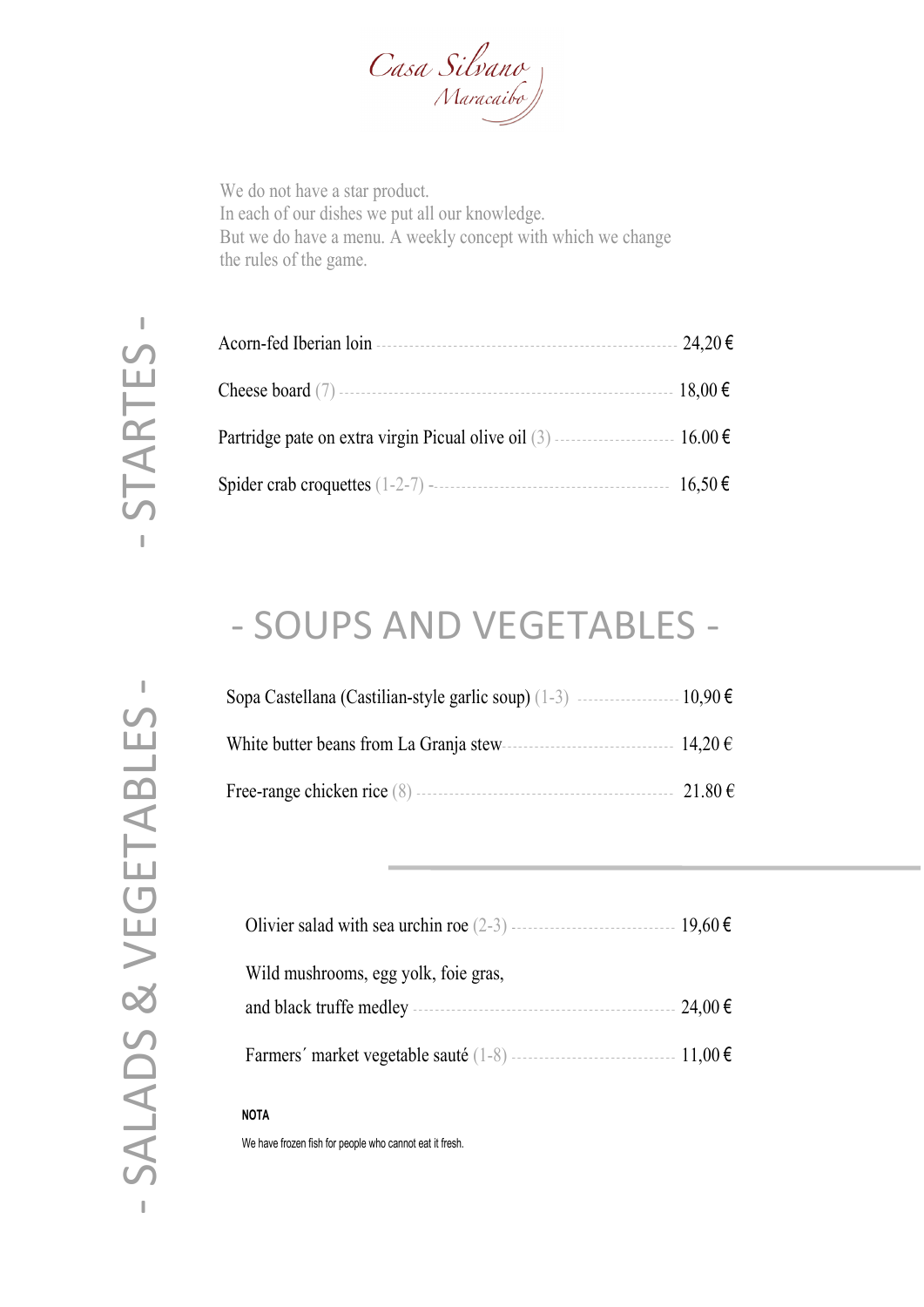

We do not have a star product. In each of our dishes we put all our knowledge. But we do have a menu. A weekly concept with which we change the rules of the game.

-

| $24,20$ € |
|-----------|
|           |
|           |
|           |

### - SOUPS AND VEGETABLES -

| Sopa Castellana (Castilian-style garlic soup) $(1-3)$ ----------------------10,90 $\epsilon$ |        |
|----------------------------------------------------------------------------------------------|--------|
|                                                                                              |        |
|                                                                                              | 21.80€ |

| Wild mushrooms, egg yolk, foie gras, |             |
|--------------------------------------|-------------|
|                                      | $24,00 \in$ |
|                                      |             |

#### **NOTA**

We have frozen fish for people who cannot eat it fresh.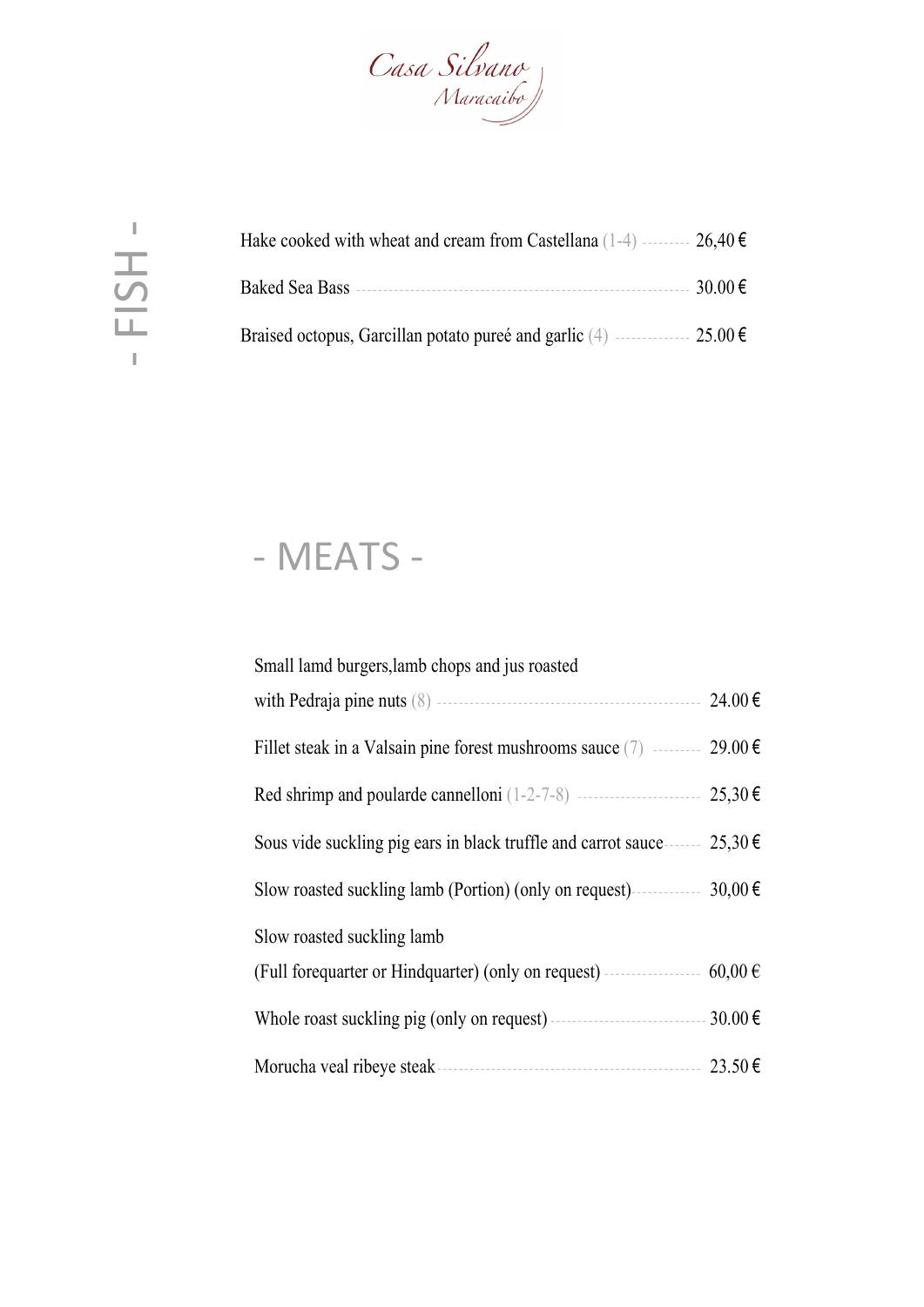

| Hake cooked with wheat and cream from Castellana (1-4) --------- $26,40 \in$     |         |
|----------------------------------------------------------------------------------|---------|
|                                                                                  | 30.00 € |
| Braised octopus, Garcillan potato pureé and garlic (4) $\ldots$ 25.00 $\epsilon$ |         |

# - MEATS -

| Small lamd burgers, lamb chops and jus roasted                                      |             |
|-------------------------------------------------------------------------------------|-------------|
|                                                                                     | 24.00€      |
| Fillet steak in a Valsain pine forest mushrooms sauce (7) $\ldots$ 29.00 $\epsilon$ |             |
|                                                                                     | 25,30€      |
| Sous vide suckling pig ears in black truffle and carrot sauce                       | 25,30€      |
| Slow roasted suckling lamb (Portion) (only on request)                              | $30,00 \in$ |
| Slow roasted suckling lamb                                                          |             |
| (Full forequarter or Hindquarter) (only on request) -------------------             | $60,00 \in$ |
|                                                                                     | 30.00€      |
| Morucha veal ribeye steak                                                           | 23.50€      |